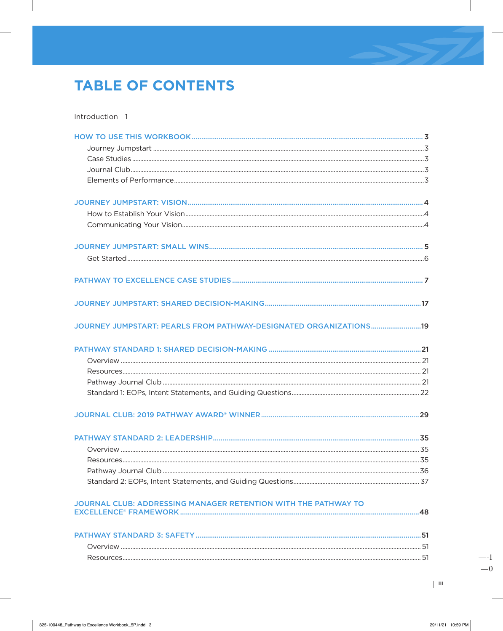# **TABLE OF CONTENTS**

Introduction 1

| JOURNEY JUMPSTART: PEARLS FROM PATHWAY-DESIGNATED ORGANIZATIONS19 |  |
|-------------------------------------------------------------------|--|
|                                                                   |  |
|                                                                   |  |
|                                                                   |  |
|                                                                   |  |
|                                                                   |  |
|                                                                   |  |
|                                                                   |  |
| Overview                                                          |  |
|                                                                   |  |
|                                                                   |  |
|                                                                   |  |
| JOURNAL CLUB: ADDRESSING MANAGER RETENTION WITH THE PATHWAY TO    |  |
|                                                                   |  |
|                                                                   |  |
|                                                                   |  |
|                                                                   |  |